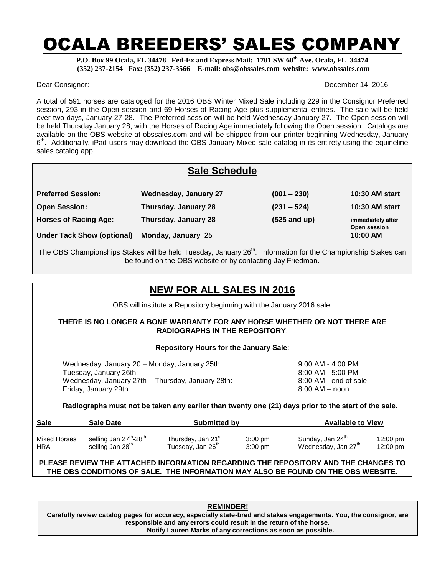# OCALA BREEDERS' SALES COMPANY

**P.O. Box 99 Ocala, FL 34478 Fed-Ex and Express Mail: 1701 SW 60th Ave. Ocala, FL 34474 (352) 237-2154 Fax: (352) 237-3566 E-mail: obs@obssales.com website: www.obssales.com**

Dear Consignor: December 14, 2016

A total of 591 horses are cataloged for the 2016 OBS Winter Mixed Sale including 229 in the Consignor Preferred session, 293 in the Open session and 69 Horses of Racing Age plus supplemental entries. The sale will be held over two days, January 27-28. The Preferred session will be held Wednesday January 27. The Open session will be held Thursday January 28, with the Horses of Racing Age immediately following the Open session. Catalogs are available on the OBS website at obssales.com and will be shipped from our printer beginning Wednesday, January 6<sup>th</sup>. Additionally, iPad users may download the OBS January Mixed sale catalog in its entirety using the equineline sales catalog app.

| <b>Sale Schedule</b>              |                              |                |                                   |  |
|-----------------------------------|------------------------------|----------------|-----------------------------------|--|
| <b>Preferred Session:</b>         | <b>Wednesday, January 27</b> | $(001 - 230)$  | <b>10:30 AM start</b>             |  |
| <b>Open Session:</b>              | Thursday, January 28         | $(231 - 524)$  | <b>10:30 AM start</b>             |  |
| <b>Horses of Racing Age:</b>      | Thursday, January 28         | $(525$ and up) | immediately after<br>Open session |  |
| <b>Under Tack Show (optional)</b> | Monday, January 25           |                | 10:00 AM                          |  |

The OBS Championships Stakes will be held Tuesday, January 26<sup>th</sup>. Information for the Championship Stakes can be found on the OBS website or by contacting Jay Friedman.

## **NEW FOR ALL SALES IN 2016**

OBS will institute a Repository beginning with the January 2016 sale.

### **THERE IS NO LONGER A BONE WARRANTY FOR ANY HORSE WHETHER OR NOT THERE ARE RADIOGRAPHS IN THE REPOSITORY**.

### **Repository Hours for the January Sale**:

| Wednesday, January 20 – Monday, January 25th:     | 9:00 AM - 4:00 PM     |
|---------------------------------------------------|-----------------------|
| Tuesday, January 26th:                            | 8:00 AM - 5:00 PM     |
| Wednesday, January 27th – Thursday, January 28th: | 8:00 AM - end of sale |
| Friday, January 29th:                             | $8:00$ AM $-$ noon    |

**Radiographs must not be taken any earlier than twenty one (21) days prior to the start of the sale.**

| <b>Sale</b>         | <b>Available to View</b><br><b>Submitted by</b><br>Sale Date |                                |                   |                                 |                    |
|---------------------|--------------------------------------------------------------|--------------------------------|-------------------|---------------------------------|--------------------|
| <b>Mixed Horses</b> | selling Jan 27 <sup>th</sup> -28 <sup>th</sup>               | Thursday, Jan 21 <sup>st</sup> | $3:00 \text{ pm}$ | Sunday, Jan 24 <sup>th</sup>    | $12:00 \text{ pm}$ |
| <b>HRA</b>          | selling Jan 28 <sup>th</sup>                                 | Tuesday, Jan 26 <sup>th</sup>  | $3:00$ pm         | Wednesday, Jan 27 <sup>th</sup> | 12:00 pm           |

## **PLEASE REVIEW THE ATTACHED INFORMATION REGARDING THE REPOSITORY AND THE CHANGES TO THE OBS CONDITIONS OF SALE. THE INFORMATION MAY ALSO BE FOUND ON THE OBS WEBSITE.**

**REMINDER! Carefully review catalog pages for accuracy, especially state-bred and stakes engagements. You, the consignor, are responsible and any errors could result in the return of the horse. Notify Lauren Marks of any corrections as soon as possible.**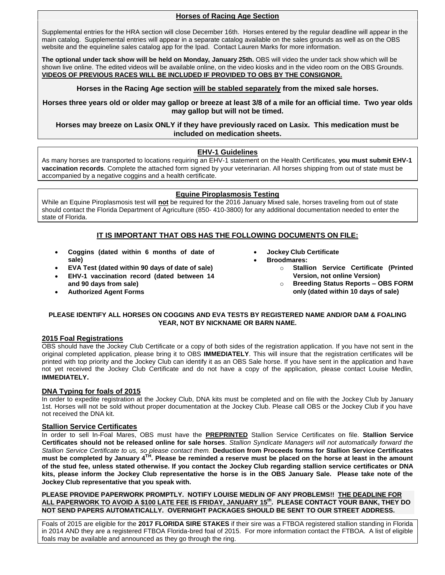### **Horses of Racing Age Section**

Supplemental entries for the HRA section will close December 16th. Horses entered by the regular deadline will appear in the main catalog. Supplemental entries will appear in a separate catalog available on the sales grounds as well as on the OBS website and the equineline sales catalog app for the Ipad. Contact Lauren Marks for more information.

**The optional under tack show will be held on Monday, January 25th.** OBS will video the under tack show which will be shown live online. The edited videos will be available online, on the video kiosks and in the video room on the OBS Grounds. **VIDEOS OF PREVIOUS RACES WILL BE INCLUDED IF PROVIDED TO OBS BY THE CONSIGNOR.**

**Horses in the Racing Age section will be stabled separately from the mixed sale horses.**

**Horses three years old or older may gallop or breeze at least 3/8 of a mile for an official time. Two year olds may gallop but will not be timed.**

**Horses may breeze on Lasix ONLY if they have previously raced on Lasix. This medication must be included on medication sheets.**

### **EHV-1 Guidelines**

As many horses are transported to locations requiring an EHV-1 statement on the Health Certificates, **you must submit EHV-1 vaccination records**. Complete the attached form signed by your veterinarian. All horses shipping from out of state must be accompanied by a negative coggins and a health certificate.

### **Equine Piroplasmosis Testing**

While an Equine Piroplasmosis test will **not** be required for the 2016 January Mixed sale, horses traveling from out of state should contact the Florida Department of Agriculture (850- 410-3800) for any additional documentation needed to enter the state of Florida.

## **IT IS IMPORTANT THAT OBS HAS THE FOLLOWING DOCUMENTS ON FILE:**

- **Coggins (dated within 6 months of date of sale)**
- **EVA Test (dated within 90 days of date of sale)**
- **EHV-1 vaccination record (dated between 14 and 90 days from sale)**
- **Authorized Agent Forms**
- **Jockey Club Certificate**
	- **Broodmares:**
		- o **Stallion Service Certificate (Printed Version, not online Version)**
			- o **Breeding Status Reports – OBS FORM only (dated within 10 days of sale)**

### **PLEASE IDENTIFY ALL HORSES ON COGGINS AND EVA TESTS BY REGISTERED NAME AND/OR DAM & FOALING YEAR, NOT BY NICKNAME OR BARN NAME.**

### **2015 Foal Registrations**

OBS should have the Jockey Club Certificate or a copy of both sides of the registration application. If you have not sent in the original completed application, please bring it to OBS **IMMEDIATELY**. This will insure that the registration certificates will be printed with top priority and the Jockey Club can identify it as an OBS Sale horse. If you have sent in the application and have not yet received the Jockey Club Certificate and do not have a copy of the application, please contact Louise Medlin, **IMMEDIATELY.**

### **DNA Typing for foals of 2015**

In order to expedite registration at the Jockey Club, DNA kits must be completed and on file with the Jockey Club by January 1st. Horses will not be sold without proper documentation at the Jockey Club. Please call OBS or the Jockey Club if you have not received the DNA kit.

### **Stallion Service Certificates**

In order to sell In-Foal Mares, OBS must have the **PREPRINTED** Stallion Service Certificates on file. **Stallion Service Certificates should not be released online for sale horses**. *Stallion Syndicate Managers will not automatically forward the Stallion Service Certificate to us, so please contact them.* **Deduction from Proceeds forms for Stallion Service Certificates**  must be completed by January 4<sup>TH</sup>. Please be reminded a reserve must be placed on the horse at least in the amount **of the stud fee, unless stated otherwise. If you contact the Jockey Club regarding stallion service certificates or DNA kits, please inform the Jockey Club representative the horse is in the OBS January Sale. Please take note of the Jockey Club representative that you speak with.**

**PLEASE PROVIDE PAPERWORK PROMPTLY. NOTIFY LOUISE MEDLIN OF ANY PROBLEMS!! THE DEADLINE FOR ALL PAPERWORK TO AVOID A \$100 LATE FEE IS FRIDAY, JANUARY 15 th . PLEASE CONTACT YOUR BANK, THEY DO NOT SEND PAPERS AUTOMATICALLY. OVERNIGHT PACKAGES SHOULD BE SENT TO OUR STREET ADDRESS.**

Foals of 2015 are eligible for the **2017 FLORIDA SIRE STAKES** if their sire was a FTBOA registered stallion standing in Florida in 2014 AND they are a registered FTBOA Florida-bred foal of 2015. For more information contact the FTBOA. A list of eligible foals may be available and announced as they go through the ring.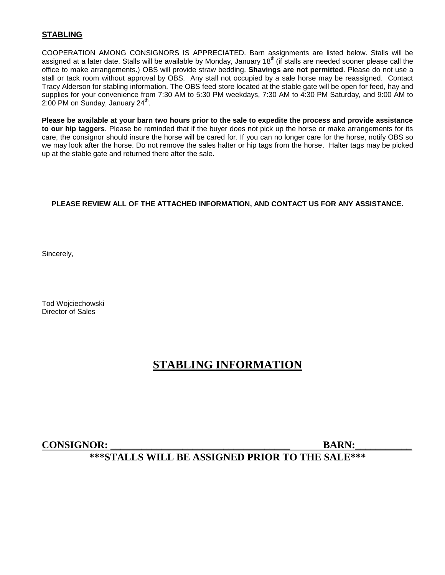## **STABLING**

COOPERATION AMONG CONSIGNORS IS APPRECIATED. Barn assignments are listed below. Stalls will be assigned at a later date. Stalls will be available by Monday, January 18<sup>th</sup> (if stalls are needed sooner please call the office to make arrangements.) OBS will provide straw bedding. **Shavings are not permitted**. Please do not use a stall or tack room without approval by OBS. Any stall not occupied by a sale horse may be reassigned. Contact Tracy Alderson for stabling information. The OBS feed store located at the stable gate will be open for feed, hay and supplies for your convenience from 7:30 AM to 5:30 PM weekdays, 7:30 AM to 4:30 PM Saturday, and 9:00 AM to 2:00 PM on Sunday, January 24<sup>th</sup>.

**Please be available at your barn two hours prior to the sale to expedite the process and provide assistance to our hip taggers**. Please be reminded that if the buyer does not pick up the horse or make arrangements for its care, the consignor should insure the horse will be cared for. If you can no longer care for the horse, notify OBS so we may look after the horse. Do not remove the sales halter or hip tags from the horse. Halter tags may be picked up at the stable gate and returned there after the sale.

## **PLEASE REVIEW ALL OF THE ATTACHED INFORMATION, AND CONTACT US FOR ANY ASSISTANCE.**

Sincerely,

Tod Wojciechowski Director of Sales

## **STABLING INFORMATION**

## **CONSIGNOR: \_\_\_\_\_\_\_\_\_\_\_\_\_\_\_\_\_\_\_\_\_\_\_\_\_\_\_\_\_\_\_\_\_\_\_ BARN:\_\_\_\_\_\_\_\_\_\_\_**

## **\*\*\*STALLS WILL BE ASSIGNED PRIOR TO THE SALE\*\*\***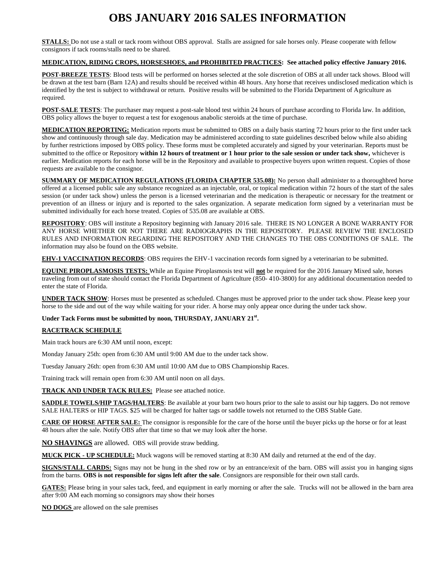## **OBS JANUARY 2016 SALES INFORMATION**

**STALLS:** Do not use a stall or tack room without OBS approval. Stalls are assigned for sale horses only. Please cooperate with fellow consignors if tack rooms/stalls need to be shared.

### **MEDICATION, RIDING CROPS, HORSESHOES, and PROHIBITED PRACTICES: See attached policy effective January 2016.**

**POST-BREEZE TESTS**: Blood tests will be performed on horses selected at the sole discretion of OBS at all under tack shows. Blood will be drawn at the test barn (Barn 12A) and results should be received within 48 hours. Any horse that receives undisclosed medication which is identified by the test is subject to withdrawal or return. Positive results will be submitted to the Florida Department of Agriculture as required.

**POST-SALE TESTS**: The purchaser may request a post-sale blood test within 24 hours of purchase according to Florida law. In addition, OBS policy allows the buyer to request a test for exogenous anabolic steroids at the time of purchase.

**MEDICATION REPORTING:** Medication reports must be submitted to OBS on a daily basis starting 72 hours prior to the first under tack show and continuously through sale day. Medication may be administered according to state guidelines described below while also abiding by further restrictions imposed by OBS policy. These forms must be completed accurately and signed by your veterinarian. Reports must be submitted to the office or Repository **within 12 hours of treatment or 1 hour prior to the sale session or under tack show,** whichever is earlier. Medication reports for each horse will be in the Repository and available to prospective buyers upon written request. Copies of those requests are available to the consignor.

**SUMMARY OF MEDICATION REGULATIONS (FLORIDA CHAPTER 535.08):** No person shall administer to a thoroughbred horse offered at a licensed public sale any substance recognized as an injectable, oral, or topical medication within 72 hours of the start of the sales session (or under tack show) unless the person is a licensed veterinarian and the medication is therapeutic or necessary for the treatment or prevention of an illness or injury and is reported to the sales organization. A separate medication form signed by a veterinarian must be submitted individually for each horse treated. Copies of 535.08 are available at OBS.

**REPOSITORY**: OBS will institute a Repository beginning with January 2016 sale. THERE IS NO LONGER A BONE WARRANTY FOR ANY HORSE WHETHER OR NOT THERE ARE RADIOGRAPHS IN THE REPOSITORY. PLEASE REVIEW THE ENCLOSED RULES AND INFORMATION REGARDING THE REPOSITORY AND THE CHANGES TO THE OBS CONDITIONS OF SALE. The information may also be found on the OBS website.

**EHV-1 VACCINATION RECORDS**: OBS requires the EHV-1 vaccination records form signed by a veterinarian to be submitted.

**EQUINE PIROPLASMOSIS TESTS:** While an Equine Piroplasmosis test will **not** be required for the 2016 January Mixed sale, horses traveling from out of state should contact the Florida Department of Agriculture (850- 410-3800) for any additional documentation needed to enter the state of Florida.

**UNDER TACK SHOW**: Horses must be presented as scheduled. Changes must be approved prior to the under tack show. Please keep your horse to the side and out of the way while waiting for your rider. A horse may only appear once during the under tack show.

### Under Tack Forms must be submitted by noon, THURSDAY, JANUARY 21<sup>st</sup>.

### **RACETRACK SCHEDULE**

Main track hours are 6:30 AM until noon, except:

Monday January 25th: open from 6:30 AM until 9:00 AM due to the under tack show.

Tuesday January 26th: open from 6:30 AM until 10:00 AM due to OBS Championship Races.

Training track will remain open from 6:30 AM until noon on all days.

**TRACK AND UNDER TACK RULES:** Please see attached notice.

**SADDLE TOWELS/HIP TAGS/HALTERS**: Be available at your barn two hours prior to the sale to assist our hip taggers. Do not remove SALE HALTERS or HIP TAGS. \$25 will be charged for halter tags or saddle towels not returned to the OBS Stable Gate.

**CARE OF HORSE AFTER SALE:** The consignor is responsible for the care of the horse until the buyer picks up the horse or for at least 48 hours after the sale. Notify OBS after that time so that we may look after the horse.

**NO SHAVINGS** are allowed. OBS will provide straw bedding.

**MUCK PICK - UP SCHEDULE:** Muck wagons will be removed starting at 8:30 AM daily and returned at the end of the day.

**SIGNS/STALL CARDS:** Signs may not be hung in the shed row or by an entrance/exit of the barn. OBS will assist you in hanging signs from the barns. **OBS is not responsible for signs left after the sale**. Consignors are responsible for their own stall cards.

**GATES:** Please bring in your sales tack, feed, and equipment in early morning or after the sale. Trucks will not be allowed in the barn area after 9:00 AM each morning so consignors may show their horses

**NO DOGS** are allowed on the sale premises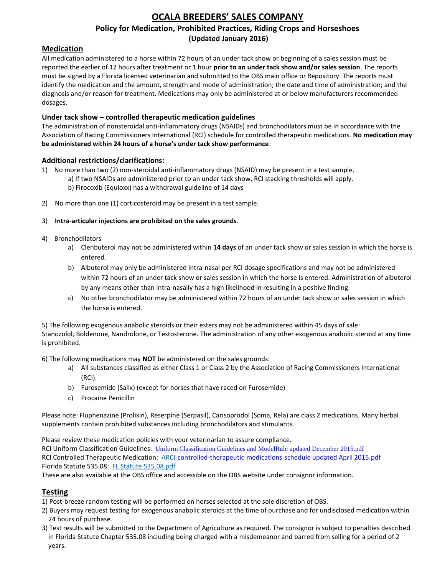## **OCALA BREEDERS' SALES COMPANY Policy for Medication, Prohibited Practices, Riding Crops and Horseshoes (Updated January 2016)**

## **Medication**

All medication administered to a horse within 72 hours of an under tack show or beginning of a sales session must be reported the earlier of 12 hours after treatment or 1 hour **prior to an under tack show and/or sales session**. The reports must be signed by a Florida licensed veterinarian and submitted to the OBS main office or Repository. The reports must identify the medication and the amount, strength and mode of administration; the date and time of administration; and the diagnosis and/or reason for treatment. Medications may only be administered at or below manufacturers recommended dosages.

## **Under tack show – controlled therapeutic medication guidelines**

The administration of nonsteroidal anti-inflammatory drugs (NSAIDs) and bronchodilators must be in accordance with the Association of Racing Commissioners International (RCI) schedule for controlled therapeutic medications. **No medication may be administered within 24 hours of a horse's under tack show performance**.

## **Additional restrictions/clarifications:**

- 1) No more than two (2) non-steroidal anti-inflammatory drugs (NSAID) may be present in a test sample. a) If two NSAIDs are administered prior to an under tack show, RCI stacking thresholds will apply.
	- b) Firocoxib (Equioxx) has a withdrawal guideline of 14 days
- 2) No more than one (1) corticosteroid may be present in a test sample.

## 3) **Intra-articular injections are prohibited on the sales grounds**.

- 4) Bronchodilators
	- a) Clenbuterol may not be administered within **14 days** of an under tack show or sales session in which the horse is entered.
	- b) Albuterol may only be administered intra-nasal per RCI dosage specifications and may not be administered within 72 hours of an under tack show or sales session in which the horse is entered. Administration of albuterol by any means other than intra-nasally has a high likelihood in resulting in a positive finding.
	- c) No other bronchodilator may be administered within 72 hours of an under tack show or sales session in which the horse is entered.

5) The following exogenous anabolic steroids or their esters may not be administered within 45 days of sale: Stanozolol, Boldenone, Nandrolone, or Testosterone. The administration of any other exogenous anabolic steroid at any time is prohibited.

6) The following medications may **NOT** be administered on the sales grounds:

- a) All substances classified as either Class 1 or Class 2 by the Association of Racing Commissioners International (RCI).
- b) Furosemide (Salix) (except for horses that have raced on Furosemide)
- c) Procaine Penicillin

Please note: Fluphenazine (Prolixin), Reserpine (Serpasil), Carisoprodol (Soma, Rela) are class 2 medications. Many herbal supplements contain prohibited substances including bronchodilators and stimulants.

Please review these medication policies with your veterinarian to assure compliance. RCI Uniform Classification Guidelines: Uniform Classification Guidelines and ModelRule updated [December 2015.pdf](http://obssales.com/OBSPAGES/ARCI%20UniformClassificationGuidelinesandModelRule.pdf) RCI Controlled Therapeutic Medication: [ARCI-controlled-therapeutic-medications-schedule](http://obssales.com/OBSPAGES/arci-controlled-therapeutic-medications-schedule.pdf) updated April 2015.pdf Florida Statute 535.08: FL [Statute 535.08.pdf](http://obssales.com/OBSPAGES/FL%20Statute%20535.08.pdf)

These are also available at the OBS office and accessible on the OBS website under consignor information.

## **Testing**

- 1) Post-breeze random testing will be performed on horses selected at the sole discretion of OBS.
- 2) Buyers may request testing for exogenous anabolic steroids at the time of purchase and for undisclosed medication within 24 hours of purchase.
- 3) Test results will be submitted to the Department of Agriculture as required. The consignor is subject to penalties described in Florida Statute Chapter 535.08 including being charged with a misdemeanor and barred from selling for a period of 2 years.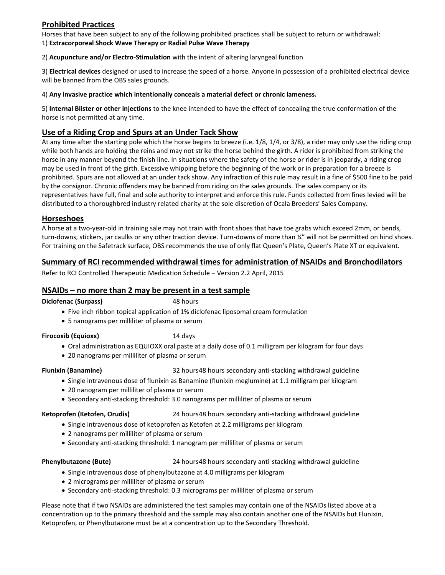## **Prohibited Practices**

Horses that have been subject to any of the following prohibited practices shall be subject to return or withdrawal: 1) **Extracorporeal Shock Wave Therapy or Radial Pulse Wave Therapy**

2) **Acupuncture and/or Electro-Stimulation** with the intent of altering laryngeal function

3) **Electrical devices** designed or used to increase the speed of a horse. Anyone in possession of a prohibited electrical device will be banned from the OBS sales grounds.

### 4) **Any invasive practice which intentionally conceals a material defect or chronic lameness.**

5) **Internal Blister or other injections** to the knee intended to have the effect of concealing the true conformation of the horse is not permitted at any time.

## **Use of a Riding Crop and Spurs at an Under Tack Show**

At any time after the starting pole which the horse begins to breeze (i.e. 1/8, 1/4, or 3/8), a rider may only use the riding crop while both hands are holding the reins and may not strike the horse behind the girth. A rider is prohibited from striking the horse in any manner beyond the finish line. In situations where the safety of the horse or rider is in jeopardy, a riding crop may be used in front of the girth. Excessive whipping before the beginning of the work or in preparation for a breeze is prohibited. Spurs are not allowed at an under tack show. Any infraction of this rule may result in a fine of \$500 fine to be paid by the consignor. Chronic offenders may be banned from riding on the sales grounds. The sales company or its representatives have full, final and sole authority to interpret and enforce this rule. Funds collected from fines levied will be distributed to a thoroughbred industry related charity at the sole discretion of Ocala Breeders' Sales Company.

## **Horseshoes**

A horse at a two-year-old in training sale may not train with front shoes that have toe grabs which exceed 2mm, or bends, turn-downs, stickers, jar caulks or any other traction device. Turn-downs of more than ¼" will not be permitted on hind shoes. For training on the Safetrack surface, OBS recommends the use of only flat Queen's Plate, Queen's Plate XT or equivalent.

## **Summary of RCI recommended withdrawal times for administration of NSAIDs and Bronchodilators**

Refer to RCI Controlled Therapeutic Medication Schedule – Version 2.2 April, 2015

## **NSAIDs – no more than 2 may be present in a test sample**

### **Diclofenac (Surpass)** 48 hours

- Five inch ribbon topical application of 1% diclofenac liposomal cream formulation
- 5 nanograms per milliliter of plasma or serum

### **Firocoxib (Equioxx)** 14 days

- Oral administration as EQUIOXX oral paste at a daily dose of 0.1 milligram per kilogram for four days
- 20 nanograms per milliliter of plasma or serum

**Flunixin (Banamine)** 32 hours48 hours secondary anti-stacking withdrawal guideline

- Single intravenous dose of flunixin as Banamine (flunixin meglumine) at 1.1 milligram per kilogram
- 20 nanogram per milliliter of plasma or serum
- Secondary anti-stacking threshold: 3.0 nanograms per milliliter of plasma or serum

Ketoprofen (Ketofen, Orudis) 24 hours48 hours secondary anti-stacking withdrawal guideline

- Single intravenous dose of ketoprofen as Ketofen at 2.2 milligrams per kilogram
- 2 nanograms per milliliter of plasma or serum
- Secondary anti-stacking threshold: 1 nanogram per milliliter of plasma or serum

### **Phenylbutazone (Bute)** 24 hours48 hours secondary anti-stacking withdrawal guideline

- Single intravenous dose of phenylbutazone at 4.0 milligrams per kilogram
- 2 micrograms per milliliter of plasma or serum
- Secondary anti-stacking threshold: 0.3 micrograms per milliliter of plasma or serum

Please note that if two NSAIDs are administered the test samples may contain one of the NSAIDs listed above at a concentration up to the primary threshold and the sample may also contain another one of the NSAIDs but Flunixin, Ketoprofen, or Phenylbutazone must be at a concentration up to the Secondary Threshold.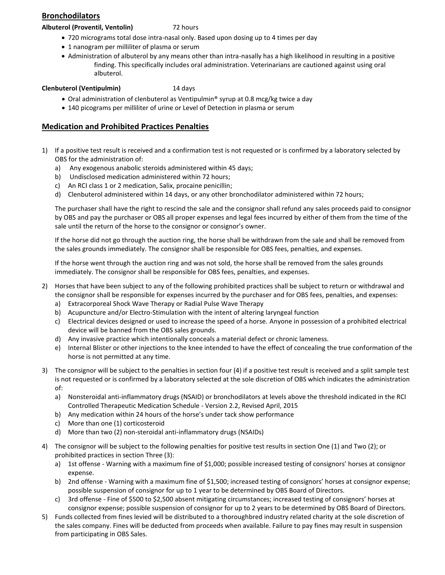## **Bronchodilators**

### **Albuterol (Proventil, Ventolin)** 72 hours

- 720 micrograms total dose intra-nasal only. Based upon dosing up to 4 times per day
- 1 nanogram per milliliter of plasma or serum
- Administration of albuterol by any means other than intra-nasally has a high likelihood in resulting in a positive finding. This specifically includes oral administration. Veterinarians are cautioned against using oral albuterol.

## **Clenbuterol (Ventipulmin)** 14 days

- Oral administration of clenbuterol as Ventipulmin® syrup at 0.8 mcg/kg twice a day
- 140 picograms per milliliter of urine or Level of Detection in plasma or serum

## **Medication and Prohibited Practices Penalties**

- 1) If a positive test result is received and a confirmation test is not requested or is confirmed by a laboratory selected by OBS for the administration of:
	- a) Any exogenous anabolic steroids administered within 45 days;
	- b) Undisclosed medication administered within 72 hours;
	- c) An RCI class 1 or 2 medication, Salix, procaine penicillin;
	- d) Clenbuterol administered within 14 days, or any other bronchodilator administered within 72 hours;

The purchaser shall have the right to rescind the sale and the consignor shall refund any sales proceeds paid to consignor by OBS and pay the purchaser or OBS all proper expenses and legal fees incurred by either of them from the time of the sale until the return of the horse to the consignor or consignor's owner.

If the horse did not go through the auction ring, the horse shall be withdrawn from the sale and shall be removed from the sales grounds immediately. The consignor shall be responsible for OBS fees, penalties, and expenses.

If the horse went through the auction ring and was not sold, the horse shall be removed from the sales grounds immediately. The consignor shall be responsible for OBS fees, penalties, and expenses.

- 2) Horses that have been subject to any of the following prohibited practices shall be subject to return or withdrawal and the consignor shall be responsible for expenses incurred by the purchaser and for OBS fees, penalties, and expenses:
	- a) Extracorporeal Shock Wave Therapy or Radial Pulse Wave Therapy
	- b) Acupuncture and/or Electro-Stimulation with the intent of altering laryngeal function
	- c) Electrical devices designed or used to increase the speed of a horse. Anyone in possession of a prohibited electrical device will be banned from the OBS sales grounds.
	- d) Any invasive practice which intentionally conceals a material defect or chronic lameness.
	- e) Internal Blister or other injections to the knee intended to have the effect of concealing the true conformation of the horse is not permitted at any time.
- 3) The consignor will be subject to the penalties in section four (4) if a positive test result is received and a split sample test is not requested or is confirmed by a laboratory selected at the sole discretion of OBS which indicates the administration of:
	- a) Nonsteroidal anti-inflammatory drugs (NSAID) or bronchodilators at levels above the threshold indicated in the RCI Controlled Therapeutic Medication Schedule - Version 2.2, Revised April, 2015
	- b) Any medication within 24 hours of the horse's under tack show performance
	- c) More than one (1) corticosteroid
	- d) More than two (2) non-steroidal anti-inflammatory drugs (NSAIDs)
- 4) The consignor will be subject to the following penalties for positive test results in section One (1) and Two (2); or prohibited practices in section Three (3):
	- a) 1st offense Warning with a maximum fine of \$1,000; possible increased testing of consignors' horses at consignor expense.
	- b) 2nd offense Warning with a maximum fine of \$1,500; increased testing of consignors' horses at consignor expense; possible suspension of consignor for up to 1 year to be determined by OBS Board of Directors.
	- c) 3rd offense Fine of \$500 to \$2,500 absent mitigating circumstances; increased testing of consignors' horses at consignor expense; possible suspension of consignor for up to 2 years to be determined by OBS Board of Directors.
- 5) Funds collected from fines levied will be distributed to a thoroughbred industry related charity at the sole discretion of the sales company. Fines will be deducted from proceeds when available. Failure to pay fines may result in suspension from participating in OBS Sales.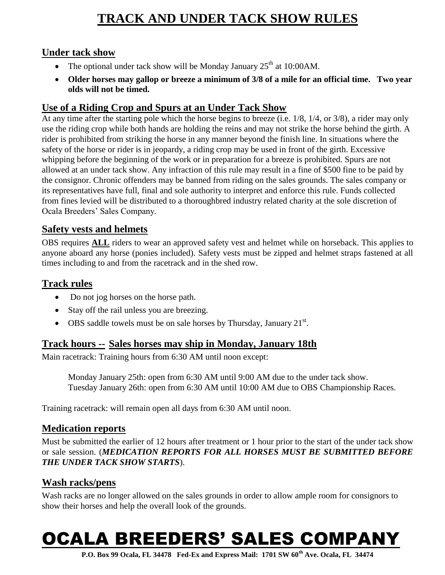## **TRACK AND UNDER TACK SHOW RULES**

## **Under tack show**

- The optional under tack show will be Monday January  $25<sup>th</sup>$  at 10:00AM.
- **Older horses may gallop or breeze a minimum of 3/8 of a mile for an official time. Two year olds will not be timed.**

## **Use of a Riding Crop and Spurs at an Under Tack Show**

At any time after the starting pole which the horse begins to breeze (i.e. 1/8, 1/4, or 3/8), a rider may only use the riding crop while both hands are holding the reins and may not strike the horse behind the girth. A rider is prohibited from striking the horse in any manner beyond the finish line. In situations where the safety of the horse or rider is in jeopardy, a riding crop may be used in front of the girth. Excessive whipping before the beginning of the work or in preparation for a breeze is prohibited. Spurs are not allowed at an under tack show. Any infraction of this rule may result in a fine of \$500 fine to be paid by the consignor. Chronic offenders may be banned from riding on the sales grounds. The sales company or its representatives have full, final and sole authority to interpret and enforce this rule. Funds collected from fines levied will be distributed to a thoroughbred industry related charity at the sole discretion of Ocala Breeders' Sales Company.

## **Safety vests and helmets**

OBS requires **ALL** riders to wear an approved safety vest and helmet while on horseback. This applies to anyone aboard any horse (ponies included). Safety vests must be zipped and helmet straps fastened at all times including to and from the racetrack and in the shed row.

## **Track rules**

- Do not jog horses on the horse path.
- Stay off the rail unless you are breezing.
- OBS saddle towels must be on sale horses by Thursday, January  $21^{st}$ .

## **Track hours -- Sales horses may ship in Monday, January 18th**

Main racetrack: Training hours from 6:30 AM until noon except:

Monday January 25th: open from 6:30 AM until 9:00 AM due to the under tack show. Tuesday January 26th: open from 6:30 AM until 10:00 AM due to OBS Championship Races.

Training racetrack: will remain open all days from 6:30 AM until noon.

## **Medication reports**

Must be submitted the earlier of 12 hours after treatment or 1 hour prior to the start of the under tack show or sale session. (*MEDICATION REPORTS FOR ALL HORSES MUST BE SUBMITTED BEFORE THE UNDER TACK SHOW STARTS*).

## **Wash racks/pens**

Wash racks are no longer allowed on the sales grounds in order to allow ample room for consignors to show their horses and help the overall look of the grounds.

# OCALA BREEDERS' SALES COMPANY

**P.O. Box 99 Ocala, FL 34478 Fed-Ex and Express Mail: 1701 SW 60th Ave. Ocala, FL 34474**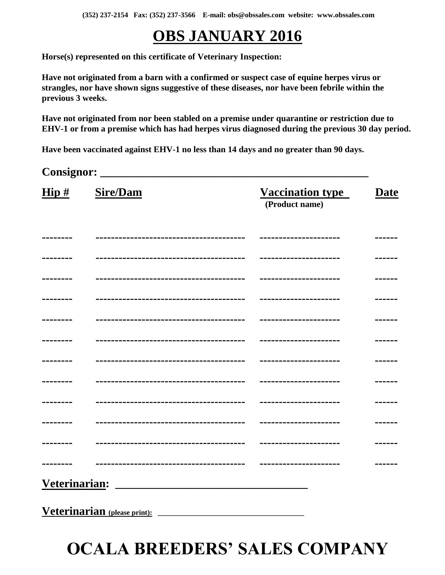**(352) 237-2154 Fax: (352) 237-3566 E-mail: obs@obssales.com website: www.obssales.com**

# **OBS JANUARY 2016**

**Horse(s) represented on this certificate of Veterinary Inspection:**

**Have not originated from a barn with a confirmed or suspect case of equine herpes virus or strangles, nor have shown signs suggestive of these diseases, nor have been febrile within the previous 3 weeks.**

**Have not originated from nor been stabled on a premise under quarantine or restriction due to EHV-1 or from a premise which has had herpes virus diagnosed during the previous 30 day period.**

**Have been vaccinated against EHV-1 no less than 14 days and no greater than 90 days.**

**Consignor: \_\_\_\_\_\_\_\_\_\_\_\_\_\_\_\_\_\_\_\_\_\_\_\_\_\_\_\_\_\_\_\_\_\_\_\_\_\_\_\_\_\_\_\_\_\_**

| $\overline{\text{Hip}\,\text{\#}}$ | <b>Sire/Dam</b>                       | <u>Vaccination type</u><br>(Product name) | <b>Date</b> |
|------------------------------------|---------------------------------------|-------------------------------------------|-------------|
|                                    | ------------------------------------  |                                           |             |
|                                    |                                       | ----------------------                    |             |
|                                    | -------------------------------       |                                           |             |
|                                    |                                       | ----------------------                    |             |
|                                    |                                       |                                           |             |
|                                    |                                       |                                           |             |
|                                    |                                       |                                           |             |
|                                    |                                       | ----------------------                    |             |
|                                    | ------------------------------------- |                                           |             |
|                                    | ------------------------------------  | ----------------------                    |             |
|                                    |                                       | -----------------------                   |             |
|                                    | -----------------                     |                                           |             |
| Veterinarian:                      |                                       |                                           |             |

**Veterinarian (please print): \_\_\_\_\_\_\_\_\_\_\_\_\_\_\_\_\_\_\_\_\_\_\_\_\_\_\_\_\_\_\_\_\_\_\_\_\_\_\_\_**

# **OCALA BREEDERS' SALES COMPANY**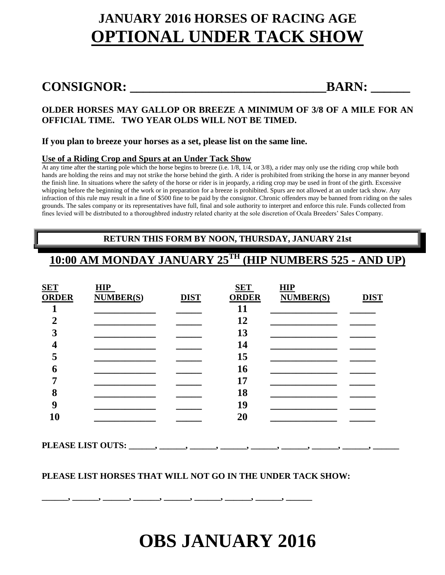# **JANUARY 2016 HORSES OF RACING AGE OPTIONAL UNDER TACK SHOW**

## **CONSIGNOR: \_\_\_\_\_\_\_\_\_\_\_\_\_\_\_\_\_\_\_\_\_\_\_\_\_\_\_\_\_\_BARN: \_\_\_\_\_\_**

## **OLDER HORSES MAY GALLOP OR BREEZE A MINIMUM OF 3/8 OF A MILE FOR AN OFFICIAL TIME. TWO YEAR OLDS WILL NOT BE TIMED.**

## **If you plan to breeze your horses as a set, please list on the same line.**

## **Use of a Riding Crop and Spurs at an Under Tack Show**

At any time after the starting pole which the horse begins to breeze (i.e. 1/8, 1/4, or 3/8), a rider may only use the riding crop while both hands are holding the reins and may not strike the horse behind the girth. A rider is prohibited from striking the horse in any manner beyond the finish line. In situations where the safety of the horse or rider is in jeopardy, a riding crop may be used in front of the girth. Excessive whipping before the beginning of the work or in preparation for a breeze is prohibited. Spurs are not allowed at an under tack show. Any infraction of this rule may result in a fine of \$500 fine to be paid by the consignor. Chronic offenders may be banned from riding on the sales grounds. The sales company or its representatives have full, final and sole authority to interpret and enforce this rule. Funds collected from fines levied will be distributed to a thoroughbred industry related charity at the sole discretion of Ocala Breeders' Sales Company.

## **RETURN THIS FORM BY NOON, THURSDAY, JANUARY 21st**

## **10:00 AM MONDAY JANUARY 25 TH (HIP NUMBERS 525 - AND UP)**

| <b>SET</b>   | HIP              |             | <b>SET</b>   | HIP              |             |
|--------------|------------------|-------------|--------------|------------------|-------------|
| <b>ORDER</b> | <b>NUMBER(S)</b> | <b>DIST</b> | <b>ORDER</b> | <b>NUMBER(S)</b> | <b>DIST</b> |
|              |                  |             | 11           |                  |             |
| ി            |                  |             | 12           |                  |             |
| 3            |                  |             | 13           |                  |             |
|              |                  |             | 14           |                  |             |
| ⋷<br>⊃       |                  |             | 15           |                  |             |
| 6            |                  |             | 16           |                  |             |
|              |                  |             | 17           |                  |             |
| 8            |                  |             | 18           |                  |             |
| 9            |                  |             | 19           |                  |             |
| 10           |                  |             | 20           |                  |             |
|              |                  |             |              |                  |             |

**PLEASE LIST OUTS: \_\_\_\_\_\_, \_\_\_\_\_\_, \_\_\_\_\_\_, \_\_\_\_\_\_, \_\_\_\_\_\_, \_\_\_\_\_\_, \_\_\_\_\_\_, \_\_\_\_\_\_, \_\_\_\_\_\_**

## **PLEASE LIST HORSES THAT WILL NOT GO IN THE UNDER TACK SHOW:**

**\_\_\_\_\_\_, \_\_\_\_\_\_, \_\_\_\_\_\_, \_\_\_\_\_\_, \_\_\_\_\_\_, \_\_\_\_\_\_, \_\_\_\_\_\_, \_\_\_\_\_\_, \_\_\_\_\_\_**

# **OBS JANUARY 2016**